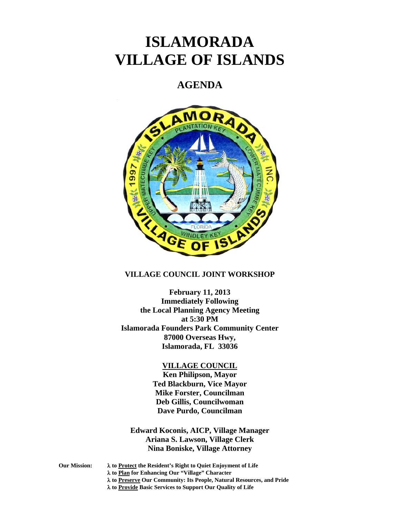# **ISLAMORADA VILLAGE OF ISLANDS**

# **AGENDA**



## **VILLAGE COUNCIL JOINT WORKSHOP**

**February 11, 2013 Immediately Following the Local Planning Agency Meeting at 5:30 PM Islamorada Founders Park Community Center 87000 Overseas Hwy, Islamorada, FL 33036** 

# **VILLAGE COUNCIL**

**Ken Philipson, Mayor Ted Blackburn, Vice Mayor Mike Forster, Councilman Deb Gillis, Councilwoman Dave Purdo, Councilman** 

**Edward Koconis, AICP, Village Manager Ariana S. Lawson, Village Clerk Nina Boniske, Village Attorney** 

**Our Mission: to Protect the Resident's Right to Quiet Enjoyment of Life** 

- **to Preserve Our Community: Its People, Natural Resources, and Pride**
- **to Provide Basic Services to Support Our Quality of Life**

**to Plan for Enhancing Our "Village" Character**